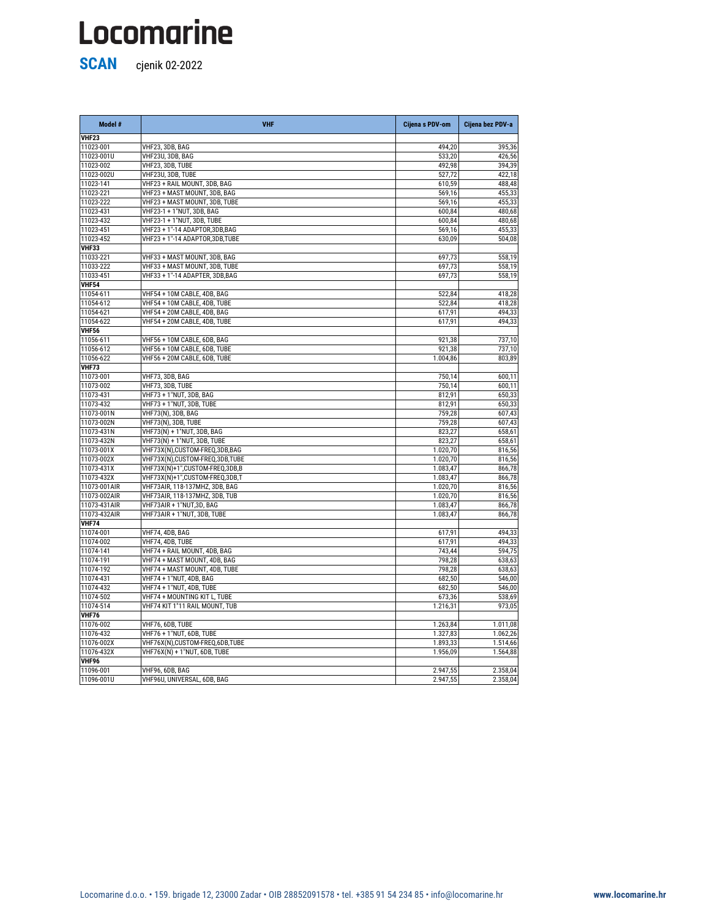| VHF <sub>23</sub><br>11023-001<br>VHF23, 3DB, BAG<br>494,20<br>395,36<br>533,20<br>11023-001U<br>VHF23U, 3DB, BAG<br>426,56<br>VHF23, 3DB, TUBE<br>11023-002<br>492,98<br>394,39<br>11023-002U<br>VHF23U, 3DB, TUBE<br>527,72<br>422,18<br>11023-141<br>VHF23 + RAIL MOUNT, 3DB, BAG<br>610,59<br>488,48<br>VHF23 + MAST MOUNT, 3DB, BAG<br>11023-221<br>569,16<br>455,33<br>569,16<br>11023-222<br>VHF23 + MAST MOUNT, 3DB, TUBE<br>455,33<br>VHF23-1 + 1"NUT, 3DB, BAG<br>11023-431<br>600,84<br>480,68<br>11023-432<br>VHF23-1 + 1"NUT, 3DB, TUBE<br>480,68<br>600,84<br>VHF23 + 1"-14 ADAPTOR,3DB,BAG<br>11023-451<br>569,16<br>455,33<br>11023-452<br>VHF23 + 1"-14 ADAPTOR,3DB,TUBE<br>504,08<br>630,09<br>VHF33<br>11033-221<br>VHF33 + MAST MOUNT, 3DB, BAG<br>697,73<br>558,19<br>697,73<br>11033-222<br>VHF33 + MAST MOUNT, 3DB, TUBE<br>558,19<br>11033-451<br>VHF33 + 1"-14 ADAPTER, 3DB, BAG<br>697,73<br>558,19<br><b>VHF54</b><br>11054-611<br>VHF54 + 10M CABLE, 4DB, BAG<br>522,84<br>418,28<br>VHF54 + 10M CABLE, 4DB, TUBE<br>11054-612<br>522,84<br>418,28<br>11054-621<br>VHF54 + 20M CABLE, 4DB, BAG<br>617,91<br>494,33<br>11054-622<br>VHF54 + 20M CABLE, 4DB, TUBE<br>617,91<br>494,33<br><b>VHF56</b><br>VHF56 + 10M CABLE, 6DB, BAG<br>11056-611<br>921,38<br>737,10<br>VHF56 + 10M CABLE, 6DB, TUBE<br>11056-612<br>921,38<br>737,10<br>11056-622<br>VHF56 + 20M CABLE, 6DB, TUBE<br>803,89<br>1.004,86<br><b>VHF73</b><br>11073-001<br>VHF73, 3DB, BAG<br>750,14<br>600,11<br>VHF73, 3DB, TUBE<br>750,14<br>11073-002<br>600,11<br><b>VHF73 + 1"NUT, 3DB, BAG</b><br>11073-431<br>812,91<br>650,33<br>11073-432<br>VHF73 + 1"NUT, 3DB, TUBE<br>812,91<br>650,33<br>11073-001N<br>VHF73(N), 3DB, BAG<br>607,43<br>759,28<br>11073-002N<br>VHF73(N), 3DB, TUBE<br>759,28<br>607,43<br>VHF73(N) + 1"NUT, 3DB, BAG<br>823,27<br>658,61<br>11073-431N<br>VHF73(N) + 1"NUT, 3DB, TUBE<br>11073-432N<br>823,27<br>658,61<br>VHF73X(N), CUSTOM-FREQ, 3DB, BAG<br>816,56<br>11073-001X<br>1.020,70<br>11073-002X<br>VHF73X(N), CUSTOM-FREQ, 3DB, TUBE<br>1.020,70<br>816,56<br>11073-431X<br>VHF73X(N)+1",CUSTOM-FREQ,3DB,B<br>1.083,47<br>866,78<br>1.083,47<br>866,78<br>11073-432X<br>VHF73X(N)+1",CUSTOM-FREQ,3DB,T<br>11073-001AIR<br>VHF73AIR, 118-137MHZ, 3DB, BAG<br>1.020,70<br>816,56<br>816,56<br>11073-002AIR<br>VHF73AIR, 118-137MHZ, 3DB, TUB<br>1.020,70<br>11073-431AIR<br>1.083,47<br>VHF73AIR + 1"NUT,3D, BAG<br>866,78<br>VHF73AIR + 1"NUT, 3DB, TUBE<br>11073-432AIR<br>1.083,47<br>866,78<br><b>VHF74</b><br>11074-001<br>617,91<br>494,33<br>VHF74, 4DB, BAG<br>617,91<br>11074-002<br>VHF74, 4DB, TUBE<br>494,33<br>11074-141<br>VHF74 + RAIL MOUNT, 4DB, BAG<br>743,44<br>594,75<br>11074-191<br>VHF74 + MAST MOUNT, 4DB, BAG<br>798,28<br>638,63<br>11074-192<br>VHF74 + MAST MOUNT, 4DB, TUBE<br>798,28<br>638,63<br>VHF74 + 1"NUT, 4DB, BAG<br>11074-431<br>682,50<br>546,00<br>VHF74 + 1"NUT, 4DB, TUBE<br>11074-432<br>682,50<br>546,00<br>11074-502<br>VHF74 + MOUNTING KIT L, TUBE<br>673,36<br>538,69<br>11074-514<br>VHF74 KIT 1"11 RAIL MOUNT, TUB<br>973,05<br>1.216,31<br><b>VHF76</b><br>11076-002<br>1 263 84<br>IVHF76 6DR TURF<br>1 011 08 | Model # | <b>VHF</b> | Cijena s PDV-om | Cijena bez PDV-a |
|--------------------------------------------------------------------------------------------------------------------------------------------------------------------------------------------------------------------------------------------------------------------------------------------------------------------------------------------------------------------------------------------------------------------------------------------------------------------------------------------------------------------------------------------------------------------------------------------------------------------------------------------------------------------------------------------------------------------------------------------------------------------------------------------------------------------------------------------------------------------------------------------------------------------------------------------------------------------------------------------------------------------------------------------------------------------------------------------------------------------------------------------------------------------------------------------------------------------------------------------------------------------------------------------------------------------------------------------------------------------------------------------------------------------------------------------------------------------------------------------------------------------------------------------------------------------------------------------------------------------------------------------------------------------------------------------------------------------------------------------------------------------------------------------------------------------------------------------------------------------------------------------------------------------------------------------------------------------------------------------------------------------------------------------------------------------------------------------------------------------------------------------------------------------------------------------------------------------------------------------------------------------------------------------------------------------------------------------------------------------------------------------------------------------------------------------------------------------------------------------------------------------------------------------------------------------------------------------------------------------------------------------------------------------------------------------------------------------------------------------------------------------------------------------------------------------------------------------------------------------------------------------------------------------------------------------------------------------------------------------------------------------------------------------------------------------------------------------------------------------------------------------------------------------------------------------------------|---------|------------|-----------------|------------------|
|                                                                                                                                                                                                                                                                                                                                                                                                                                                                                                                                                                                                                                                                                                                                                                                                                                                                                                                                                                                                                                                                                                                                                                                                                                                                                                                                                                                                                                                                                                                                                                                                                                                                                                                                                                                                                                                                                                                                                                                                                                                                                                                                                                                                                                                                                                                                                                                                                                                                                                                                                                                                                                                                                                                                                                                                                                                                                                                                                                                                                                                                                                                                                                                                        |         |            |                 |                  |
|                                                                                                                                                                                                                                                                                                                                                                                                                                                                                                                                                                                                                                                                                                                                                                                                                                                                                                                                                                                                                                                                                                                                                                                                                                                                                                                                                                                                                                                                                                                                                                                                                                                                                                                                                                                                                                                                                                                                                                                                                                                                                                                                                                                                                                                                                                                                                                                                                                                                                                                                                                                                                                                                                                                                                                                                                                                                                                                                                                                                                                                                                                                                                                                                        |         |            |                 |                  |
|                                                                                                                                                                                                                                                                                                                                                                                                                                                                                                                                                                                                                                                                                                                                                                                                                                                                                                                                                                                                                                                                                                                                                                                                                                                                                                                                                                                                                                                                                                                                                                                                                                                                                                                                                                                                                                                                                                                                                                                                                                                                                                                                                                                                                                                                                                                                                                                                                                                                                                                                                                                                                                                                                                                                                                                                                                                                                                                                                                                                                                                                                                                                                                                                        |         |            |                 |                  |
|                                                                                                                                                                                                                                                                                                                                                                                                                                                                                                                                                                                                                                                                                                                                                                                                                                                                                                                                                                                                                                                                                                                                                                                                                                                                                                                                                                                                                                                                                                                                                                                                                                                                                                                                                                                                                                                                                                                                                                                                                                                                                                                                                                                                                                                                                                                                                                                                                                                                                                                                                                                                                                                                                                                                                                                                                                                                                                                                                                                                                                                                                                                                                                                                        |         |            |                 |                  |
|                                                                                                                                                                                                                                                                                                                                                                                                                                                                                                                                                                                                                                                                                                                                                                                                                                                                                                                                                                                                                                                                                                                                                                                                                                                                                                                                                                                                                                                                                                                                                                                                                                                                                                                                                                                                                                                                                                                                                                                                                                                                                                                                                                                                                                                                                                                                                                                                                                                                                                                                                                                                                                                                                                                                                                                                                                                                                                                                                                                                                                                                                                                                                                                                        |         |            |                 |                  |
|                                                                                                                                                                                                                                                                                                                                                                                                                                                                                                                                                                                                                                                                                                                                                                                                                                                                                                                                                                                                                                                                                                                                                                                                                                                                                                                                                                                                                                                                                                                                                                                                                                                                                                                                                                                                                                                                                                                                                                                                                                                                                                                                                                                                                                                                                                                                                                                                                                                                                                                                                                                                                                                                                                                                                                                                                                                                                                                                                                                                                                                                                                                                                                                                        |         |            |                 |                  |
|                                                                                                                                                                                                                                                                                                                                                                                                                                                                                                                                                                                                                                                                                                                                                                                                                                                                                                                                                                                                                                                                                                                                                                                                                                                                                                                                                                                                                                                                                                                                                                                                                                                                                                                                                                                                                                                                                                                                                                                                                                                                                                                                                                                                                                                                                                                                                                                                                                                                                                                                                                                                                                                                                                                                                                                                                                                                                                                                                                                                                                                                                                                                                                                                        |         |            |                 |                  |
|                                                                                                                                                                                                                                                                                                                                                                                                                                                                                                                                                                                                                                                                                                                                                                                                                                                                                                                                                                                                                                                                                                                                                                                                                                                                                                                                                                                                                                                                                                                                                                                                                                                                                                                                                                                                                                                                                                                                                                                                                                                                                                                                                                                                                                                                                                                                                                                                                                                                                                                                                                                                                                                                                                                                                                                                                                                                                                                                                                                                                                                                                                                                                                                                        |         |            |                 |                  |
|                                                                                                                                                                                                                                                                                                                                                                                                                                                                                                                                                                                                                                                                                                                                                                                                                                                                                                                                                                                                                                                                                                                                                                                                                                                                                                                                                                                                                                                                                                                                                                                                                                                                                                                                                                                                                                                                                                                                                                                                                                                                                                                                                                                                                                                                                                                                                                                                                                                                                                                                                                                                                                                                                                                                                                                                                                                                                                                                                                                                                                                                                                                                                                                                        |         |            |                 |                  |
|                                                                                                                                                                                                                                                                                                                                                                                                                                                                                                                                                                                                                                                                                                                                                                                                                                                                                                                                                                                                                                                                                                                                                                                                                                                                                                                                                                                                                                                                                                                                                                                                                                                                                                                                                                                                                                                                                                                                                                                                                                                                                                                                                                                                                                                                                                                                                                                                                                                                                                                                                                                                                                                                                                                                                                                                                                                                                                                                                                                                                                                                                                                                                                                                        |         |            |                 |                  |
|                                                                                                                                                                                                                                                                                                                                                                                                                                                                                                                                                                                                                                                                                                                                                                                                                                                                                                                                                                                                                                                                                                                                                                                                                                                                                                                                                                                                                                                                                                                                                                                                                                                                                                                                                                                                                                                                                                                                                                                                                                                                                                                                                                                                                                                                                                                                                                                                                                                                                                                                                                                                                                                                                                                                                                                                                                                                                                                                                                                                                                                                                                                                                                                                        |         |            |                 |                  |
|                                                                                                                                                                                                                                                                                                                                                                                                                                                                                                                                                                                                                                                                                                                                                                                                                                                                                                                                                                                                                                                                                                                                                                                                                                                                                                                                                                                                                                                                                                                                                                                                                                                                                                                                                                                                                                                                                                                                                                                                                                                                                                                                                                                                                                                                                                                                                                                                                                                                                                                                                                                                                                                                                                                                                                                                                                                                                                                                                                                                                                                                                                                                                                                                        |         |            |                 |                  |
|                                                                                                                                                                                                                                                                                                                                                                                                                                                                                                                                                                                                                                                                                                                                                                                                                                                                                                                                                                                                                                                                                                                                                                                                                                                                                                                                                                                                                                                                                                                                                                                                                                                                                                                                                                                                                                                                                                                                                                                                                                                                                                                                                                                                                                                                                                                                                                                                                                                                                                                                                                                                                                                                                                                                                                                                                                                                                                                                                                                                                                                                                                                                                                                                        |         |            |                 |                  |
|                                                                                                                                                                                                                                                                                                                                                                                                                                                                                                                                                                                                                                                                                                                                                                                                                                                                                                                                                                                                                                                                                                                                                                                                                                                                                                                                                                                                                                                                                                                                                                                                                                                                                                                                                                                                                                                                                                                                                                                                                                                                                                                                                                                                                                                                                                                                                                                                                                                                                                                                                                                                                                                                                                                                                                                                                                                                                                                                                                                                                                                                                                                                                                                                        |         |            |                 |                  |
|                                                                                                                                                                                                                                                                                                                                                                                                                                                                                                                                                                                                                                                                                                                                                                                                                                                                                                                                                                                                                                                                                                                                                                                                                                                                                                                                                                                                                                                                                                                                                                                                                                                                                                                                                                                                                                                                                                                                                                                                                                                                                                                                                                                                                                                                                                                                                                                                                                                                                                                                                                                                                                                                                                                                                                                                                                                                                                                                                                                                                                                                                                                                                                                                        |         |            |                 |                  |
|                                                                                                                                                                                                                                                                                                                                                                                                                                                                                                                                                                                                                                                                                                                                                                                                                                                                                                                                                                                                                                                                                                                                                                                                                                                                                                                                                                                                                                                                                                                                                                                                                                                                                                                                                                                                                                                                                                                                                                                                                                                                                                                                                                                                                                                                                                                                                                                                                                                                                                                                                                                                                                                                                                                                                                                                                                                                                                                                                                                                                                                                                                                                                                                                        |         |            |                 |                  |
|                                                                                                                                                                                                                                                                                                                                                                                                                                                                                                                                                                                                                                                                                                                                                                                                                                                                                                                                                                                                                                                                                                                                                                                                                                                                                                                                                                                                                                                                                                                                                                                                                                                                                                                                                                                                                                                                                                                                                                                                                                                                                                                                                                                                                                                                                                                                                                                                                                                                                                                                                                                                                                                                                                                                                                                                                                                                                                                                                                                                                                                                                                                                                                                                        |         |            |                 |                  |
|                                                                                                                                                                                                                                                                                                                                                                                                                                                                                                                                                                                                                                                                                                                                                                                                                                                                                                                                                                                                                                                                                                                                                                                                                                                                                                                                                                                                                                                                                                                                                                                                                                                                                                                                                                                                                                                                                                                                                                                                                                                                                                                                                                                                                                                                                                                                                                                                                                                                                                                                                                                                                                                                                                                                                                                                                                                                                                                                                                                                                                                                                                                                                                                                        |         |            |                 |                  |
|                                                                                                                                                                                                                                                                                                                                                                                                                                                                                                                                                                                                                                                                                                                                                                                                                                                                                                                                                                                                                                                                                                                                                                                                                                                                                                                                                                                                                                                                                                                                                                                                                                                                                                                                                                                                                                                                                                                                                                                                                                                                                                                                                                                                                                                                                                                                                                                                                                                                                                                                                                                                                                                                                                                                                                                                                                                                                                                                                                                                                                                                                                                                                                                                        |         |            |                 |                  |
|                                                                                                                                                                                                                                                                                                                                                                                                                                                                                                                                                                                                                                                                                                                                                                                                                                                                                                                                                                                                                                                                                                                                                                                                                                                                                                                                                                                                                                                                                                                                                                                                                                                                                                                                                                                                                                                                                                                                                                                                                                                                                                                                                                                                                                                                                                                                                                                                                                                                                                                                                                                                                                                                                                                                                                                                                                                                                                                                                                                                                                                                                                                                                                                                        |         |            |                 |                  |
|                                                                                                                                                                                                                                                                                                                                                                                                                                                                                                                                                                                                                                                                                                                                                                                                                                                                                                                                                                                                                                                                                                                                                                                                                                                                                                                                                                                                                                                                                                                                                                                                                                                                                                                                                                                                                                                                                                                                                                                                                                                                                                                                                                                                                                                                                                                                                                                                                                                                                                                                                                                                                                                                                                                                                                                                                                                                                                                                                                                                                                                                                                                                                                                                        |         |            |                 |                  |
|                                                                                                                                                                                                                                                                                                                                                                                                                                                                                                                                                                                                                                                                                                                                                                                                                                                                                                                                                                                                                                                                                                                                                                                                                                                                                                                                                                                                                                                                                                                                                                                                                                                                                                                                                                                                                                                                                                                                                                                                                                                                                                                                                                                                                                                                                                                                                                                                                                                                                                                                                                                                                                                                                                                                                                                                                                                                                                                                                                                                                                                                                                                                                                                                        |         |            |                 |                  |
|                                                                                                                                                                                                                                                                                                                                                                                                                                                                                                                                                                                                                                                                                                                                                                                                                                                                                                                                                                                                                                                                                                                                                                                                                                                                                                                                                                                                                                                                                                                                                                                                                                                                                                                                                                                                                                                                                                                                                                                                                                                                                                                                                                                                                                                                                                                                                                                                                                                                                                                                                                                                                                                                                                                                                                                                                                                                                                                                                                                                                                                                                                                                                                                                        |         |            |                 |                  |
|                                                                                                                                                                                                                                                                                                                                                                                                                                                                                                                                                                                                                                                                                                                                                                                                                                                                                                                                                                                                                                                                                                                                                                                                                                                                                                                                                                                                                                                                                                                                                                                                                                                                                                                                                                                                                                                                                                                                                                                                                                                                                                                                                                                                                                                                                                                                                                                                                                                                                                                                                                                                                                                                                                                                                                                                                                                                                                                                                                                                                                                                                                                                                                                                        |         |            |                 |                  |
|                                                                                                                                                                                                                                                                                                                                                                                                                                                                                                                                                                                                                                                                                                                                                                                                                                                                                                                                                                                                                                                                                                                                                                                                                                                                                                                                                                                                                                                                                                                                                                                                                                                                                                                                                                                                                                                                                                                                                                                                                                                                                                                                                                                                                                                                                                                                                                                                                                                                                                                                                                                                                                                                                                                                                                                                                                                                                                                                                                                                                                                                                                                                                                                                        |         |            |                 |                  |
|                                                                                                                                                                                                                                                                                                                                                                                                                                                                                                                                                                                                                                                                                                                                                                                                                                                                                                                                                                                                                                                                                                                                                                                                                                                                                                                                                                                                                                                                                                                                                                                                                                                                                                                                                                                                                                                                                                                                                                                                                                                                                                                                                                                                                                                                                                                                                                                                                                                                                                                                                                                                                                                                                                                                                                                                                                                                                                                                                                                                                                                                                                                                                                                                        |         |            |                 |                  |
|                                                                                                                                                                                                                                                                                                                                                                                                                                                                                                                                                                                                                                                                                                                                                                                                                                                                                                                                                                                                                                                                                                                                                                                                                                                                                                                                                                                                                                                                                                                                                                                                                                                                                                                                                                                                                                                                                                                                                                                                                                                                                                                                                                                                                                                                                                                                                                                                                                                                                                                                                                                                                                                                                                                                                                                                                                                                                                                                                                                                                                                                                                                                                                                                        |         |            |                 |                  |
|                                                                                                                                                                                                                                                                                                                                                                                                                                                                                                                                                                                                                                                                                                                                                                                                                                                                                                                                                                                                                                                                                                                                                                                                                                                                                                                                                                                                                                                                                                                                                                                                                                                                                                                                                                                                                                                                                                                                                                                                                                                                                                                                                                                                                                                                                                                                                                                                                                                                                                                                                                                                                                                                                                                                                                                                                                                                                                                                                                                                                                                                                                                                                                                                        |         |            |                 |                  |
|                                                                                                                                                                                                                                                                                                                                                                                                                                                                                                                                                                                                                                                                                                                                                                                                                                                                                                                                                                                                                                                                                                                                                                                                                                                                                                                                                                                                                                                                                                                                                                                                                                                                                                                                                                                                                                                                                                                                                                                                                                                                                                                                                                                                                                                                                                                                                                                                                                                                                                                                                                                                                                                                                                                                                                                                                                                                                                                                                                                                                                                                                                                                                                                                        |         |            |                 |                  |
|                                                                                                                                                                                                                                                                                                                                                                                                                                                                                                                                                                                                                                                                                                                                                                                                                                                                                                                                                                                                                                                                                                                                                                                                                                                                                                                                                                                                                                                                                                                                                                                                                                                                                                                                                                                                                                                                                                                                                                                                                                                                                                                                                                                                                                                                                                                                                                                                                                                                                                                                                                                                                                                                                                                                                                                                                                                                                                                                                                                                                                                                                                                                                                                                        |         |            |                 |                  |
|                                                                                                                                                                                                                                                                                                                                                                                                                                                                                                                                                                                                                                                                                                                                                                                                                                                                                                                                                                                                                                                                                                                                                                                                                                                                                                                                                                                                                                                                                                                                                                                                                                                                                                                                                                                                                                                                                                                                                                                                                                                                                                                                                                                                                                                                                                                                                                                                                                                                                                                                                                                                                                                                                                                                                                                                                                                                                                                                                                                                                                                                                                                                                                                                        |         |            |                 |                  |
|                                                                                                                                                                                                                                                                                                                                                                                                                                                                                                                                                                                                                                                                                                                                                                                                                                                                                                                                                                                                                                                                                                                                                                                                                                                                                                                                                                                                                                                                                                                                                                                                                                                                                                                                                                                                                                                                                                                                                                                                                                                                                                                                                                                                                                                                                                                                                                                                                                                                                                                                                                                                                                                                                                                                                                                                                                                                                                                                                                                                                                                                                                                                                                                                        |         |            |                 |                  |
|                                                                                                                                                                                                                                                                                                                                                                                                                                                                                                                                                                                                                                                                                                                                                                                                                                                                                                                                                                                                                                                                                                                                                                                                                                                                                                                                                                                                                                                                                                                                                                                                                                                                                                                                                                                                                                                                                                                                                                                                                                                                                                                                                                                                                                                                                                                                                                                                                                                                                                                                                                                                                                                                                                                                                                                                                                                                                                                                                                                                                                                                                                                                                                                                        |         |            |                 |                  |
|                                                                                                                                                                                                                                                                                                                                                                                                                                                                                                                                                                                                                                                                                                                                                                                                                                                                                                                                                                                                                                                                                                                                                                                                                                                                                                                                                                                                                                                                                                                                                                                                                                                                                                                                                                                                                                                                                                                                                                                                                                                                                                                                                                                                                                                                                                                                                                                                                                                                                                                                                                                                                                                                                                                                                                                                                                                                                                                                                                                                                                                                                                                                                                                                        |         |            |                 |                  |
|                                                                                                                                                                                                                                                                                                                                                                                                                                                                                                                                                                                                                                                                                                                                                                                                                                                                                                                                                                                                                                                                                                                                                                                                                                                                                                                                                                                                                                                                                                                                                                                                                                                                                                                                                                                                                                                                                                                                                                                                                                                                                                                                                                                                                                                                                                                                                                                                                                                                                                                                                                                                                                                                                                                                                                                                                                                                                                                                                                                                                                                                                                                                                                                                        |         |            |                 |                  |
|                                                                                                                                                                                                                                                                                                                                                                                                                                                                                                                                                                                                                                                                                                                                                                                                                                                                                                                                                                                                                                                                                                                                                                                                                                                                                                                                                                                                                                                                                                                                                                                                                                                                                                                                                                                                                                                                                                                                                                                                                                                                                                                                                                                                                                                                                                                                                                                                                                                                                                                                                                                                                                                                                                                                                                                                                                                                                                                                                                                                                                                                                                                                                                                                        |         |            |                 |                  |
|                                                                                                                                                                                                                                                                                                                                                                                                                                                                                                                                                                                                                                                                                                                                                                                                                                                                                                                                                                                                                                                                                                                                                                                                                                                                                                                                                                                                                                                                                                                                                                                                                                                                                                                                                                                                                                                                                                                                                                                                                                                                                                                                                                                                                                                                                                                                                                                                                                                                                                                                                                                                                                                                                                                                                                                                                                                                                                                                                                                                                                                                                                                                                                                                        |         |            |                 |                  |
|                                                                                                                                                                                                                                                                                                                                                                                                                                                                                                                                                                                                                                                                                                                                                                                                                                                                                                                                                                                                                                                                                                                                                                                                                                                                                                                                                                                                                                                                                                                                                                                                                                                                                                                                                                                                                                                                                                                                                                                                                                                                                                                                                                                                                                                                                                                                                                                                                                                                                                                                                                                                                                                                                                                                                                                                                                                                                                                                                                                                                                                                                                                                                                                                        |         |            |                 |                  |
|                                                                                                                                                                                                                                                                                                                                                                                                                                                                                                                                                                                                                                                                                                                                                                                                                                                                                                                                                                                                                                                                                                                                                                                                                                                                                                                                                                                                                                                                                                                                                                                                                                                                                                                                                                                                                                                                                                                                                                                                                                                                                                                                                                                                                                                                                                                                                                                                                                                                                                                                                                                                                                                                                                                                                                                                                                                                                                                                                                                                                                                                                                                                                                                                        |         |            |                 |                  |
|                                                                                                                                                                                                                                                                                                                                                                                                                                                                                                                                                                                                                                                                                                                                                                                                                                                                                                                                                                                                                                                                                                                                                                                                                                                                                                                                                                                                                                                                                                                                                                                                                                                                                                                                                                                                                                                                                                                                                                                                                                                                                                                                                                                                                                                                                                                                                                                                                                                                                                                                                                                                                                                                                                                                                                                                                                                                                                                                                                                                                                                                                                                                                                                                        |         |            |                 |                  |
|                                                                                                                                                                                                                                                                                                                                                                                                                                                                                                                                                                                                                                                                                                                                                                                                                                                                                                                                                                                                                                                                                                                                                                                                                                                                                                                                                                                                                                                                                                                                                                                                                                                                                                                                                                                                                                                                                                                                                                                                                                                                                                                                                                                                                                                                                                                                                                                                                                                                                                                                                                                                                                                                                                                                                                                                                                                                                                                                                                                                                                                                                                                                                                                                        |         |            |                 |                  |
|                                                                                                                                                                                                                                                                                                                                                                                                                                                                                                                                                                                                                                                                                                                                                                                                                                                                                                                                                                                                                                                                                                                                                                                                                                                                                                                                                                                                                                                                                                                                                                                                                                                                                                                                                                                                                                                                                                                                                                                                                                                                                                                                                                                                                                                                                                                                                                                                                                                                                                                                                                                                                                                                                                                                                                                                                                                                                                                                                                                                                                                                                                                                                                                                        |         |            |                 |                  |
|                                                                                                                                                                                                                                                                                                                                                                                                                                                                                                                                                                                                                                                                                                                                                                                                                                                                                                                                                                                                                                                                                                                                                                                                                                                                                                                                                                                                                                                                                                                                                                                                                                                                                                                                                                                                                                                                                                                                                                                                                                                                                                                                                                                                                                                                                                                                                                                                                                                                                                                                                                                                                                                                                                                                                                                                                                                                                                                                                                                                                                                                                                                                                                                                        |         |            |                 |                  |
|                                                                                                                                                                                                                                                                                                                                                                                                                                                                                                                                                                                                                                                                                                                                                                                                                                                                                                                                                                                                                                                                                                                                                                                                                                                                                                                                                                                                                                                                                                                                                                                                                                                                                                                                                                                                                                                                                                                                                                                                                                                                                                                                                                                                                                                                                                                                                                                                                                                                                                                                                                                                                                                                                                                                                                                                                                                                                                                                                                                                                                                                                                                                                                                                        |         |            |                 |                  |
|                                                                                                                                                                                                                                                                                                                                                                                                                                                                                                                                                                                                                                                                                                                                                                                                                                                                                                                                                                                                                                                                                                                                                                                                                                                                                                                                                                                                                                                                                                                                                                                                                                                                                                                                                                                                                                                                                                                                                                                                                                                                                                                                                                                                                                                                                                                                                                                                                                                                                                                                                                                                                                                                                                                                                                                                                                                                                                                                                                                                                                                                                                                                                                                                        |         |            |                 |                  |
|                                                                                                                                                                                                                                                                                                                                                                                                                                                                                                                                                                                                                                                                                                                                                                                                                                                                                                                                                                                                                                                                                                                                                                                                                                                                                                                                                                                                                                                                                                                                                                                                                                                                                                                                                                                                                                                                                                                                                                                                                                                                                                                                                                                                                                                                                                                                                                                                                                                                                                                                                                                                                                                                                                                                                                                                                                                                                                                                                                                                                                                                                                                                                                                                        |         |            |                 |                  |
|                                                                                                                                                                                                                                                                                                                                                                                                                                                                                                                                                                                                                                                                                                                                                                                                                                                                                                                                                                                                                                                                                                                                                                                                                                                                                                                                                                                                                                                                                                                                                                                                                                                                                                                                                                                                                                                                                                                                                                                                                                                                                                                                                                                                                                                                                                                                                                                                                                                                                                                                                                                                                                                                                                                                                                                                                                                                                                                                                                                                                                                                                                                                                                                                        |         |            |                 |                  |
|                                                                                                                                                                                                                                                                                                                                                                                                                                                                                                                                                                                                                                                                                                                                                                                                                                                                                                                                                                                                                                                                                                                                                                                                                                                                                                                                                                                                                                                                                                                                                                                                                                                                                                                                                                                                                                                                                                                                                                                                                                                                                                                                                                                                                                                                                                                                                                                                                                                                                                                                                                                                                                                                                                                                                                                                                                                                                                                                                                                                                                                                                                                                                                                                        |         |            |                 |                  |
|                                                                                                                                                                                                                                                                                                                                                                                                                                                                                                                                                                                                                                                                                                                                                                                                                                                                                                                                                                                                                                                                                                                                                                                                                                                                                                                                                                                                                                                                                                                                                                                                                                                                                                                                                                                                                                                                                                                                                                                                                                                                                                                                                                                                                                                                                                                                                                                                                                                                                                                                                                                                                                                                                                                                                                                                                                                                                                                                                                                                                                                                                                                                                                                                        |         |            |                 |                  |
|                                                                                                                                                                                                                                                                                                                                                                                                                                                                                                                                                                                                                                                                                                                                                                                                                                                                                                                                                                                                                                                                                                                                                                                                                                                                                                                                                                                                                                                                                                                                                                                                                                                                                                                                                                                                                                                                                                                                                                                                                                                                                                                                                                                                                                                                                                                                                                                                                                                                                                                                                                                                                                                                                                                                                                                                                                                                                                                                                                                                                                                                                                                                                                                                        |         |            |                 |                  |
|                                                                                                                                                                                                                                                                                                                                                                                                                                                                                                                                                                                                                                                                                                                                                                                                                                                                                                                                                                                                                                                                                                                                                                                                                                                                                                                                                                                                                                                                                                                                                                                                                                                                                                                                                                                                                                                                                                                                                                                                                                                                                                                                                                                                                                                                                                                                                                                                                                                                                                                                                                                                                                                                                                                                                                                                                                                                                                                                                                                                                                                                                                                                                                                                        |         |            |                 |                  |
|                                                                                                                                                                                                                                                                                                                                                                                                                                                                                                                                                                                                                                                                                                                                                                                                                                                                                                                                                                                                                                                                                                                                                                                                                                                                                                                                                                                                                                                                                                                                                                                                                                                                                                                                                                                                                                                                                                                                                                                                                                                                                                                                                                                                                                                                                                                                                                                                                                                                                                                                                                                                                                                                                                                                                                                                                                                                                                                                                                                                                                                                                                                                                                                                        |         |            |                 |                  |
|                                                                                                                                                                                                                                                                                                                                                                                                                                                                                                                                                                                                                                                                                                                                                                                                                                                                                                                                                                                                                                                                                                                                                                                                                                                                                                                                                                                                                                                                                                                                                                                                                                                                                                                                                                                                                                                                                                                                                                                                                                                                                                                                                                                                                                                                                                                                                                                                                                                                                                                                                                                                                                                                                                                                                                                                                                                                                                                                                                                                                                                                                                                                                                                                        |         |            |                 |                  |

| 11 I V / V V V 4 | I V I II / V . V I U I . I U I L | 1. L U J.U T | 1. 0 1 1, 0 0 1 |
|------------------|----------------------------------|--------------|-----------------|
| 11076-432        | VHF76 + 1"NUT, 6DB, TUBE         | 1.327,831    | 1.062,26        |
| 11076-002X       | VHF76X(N),CUSTOM-FREQ,6DB,TUBE   | .893,33      | 1.514,66        |
| 11076-432X       | $VHF76X(N) + 1"NUT, 6DB, TUBE$   | .956,09      | 1.564,88        |
| VHF96            |                                  |              |                 |
| 11096-001        | VHF96, 6DB, BAG                  | 2.947,55     | 2.358,04        |
| 11096-001U       | VHF96U, UNIVERSAL, 6DB, BAG      | 2.947,55     | 2.358,04        |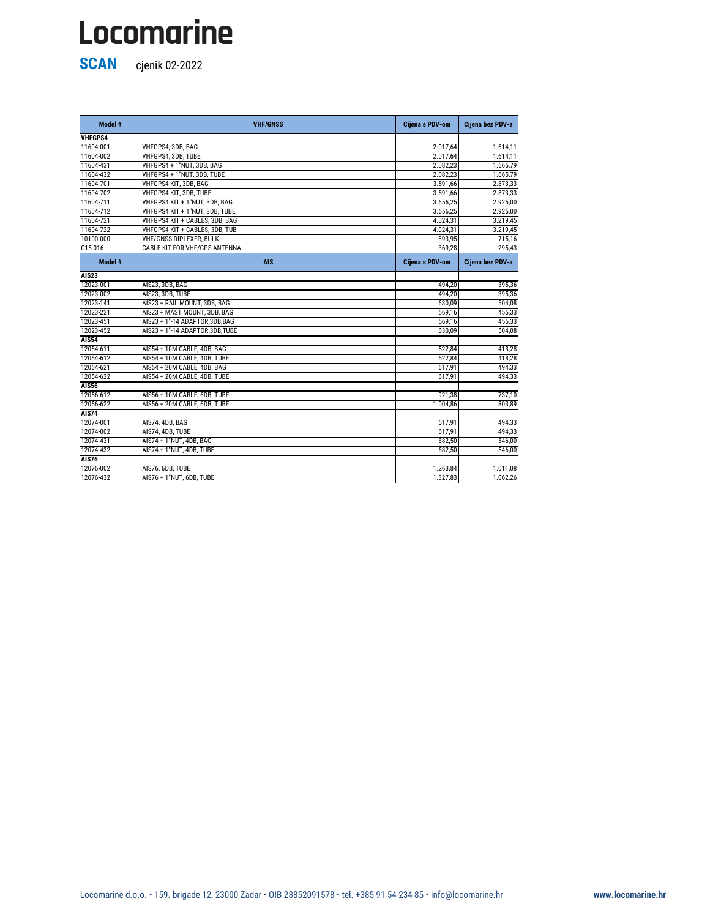**SCAN** cjenik 02-2022

| Model #        | <b>VHF/GNSS</b>                  | Cijena s PDV-om | Cijena bez PDV-a |
|----------------|----------------------------------|-----------------|------------------|
| <b>VHFGPS4</b> |                                  |                 |                  |
| 11604-001      | VHFGPS4, 3DB, BAG                | 2.017,64        | 1.614,11         |
| 11604-002      | VHFGPS4, 3DB, TUBE               | 2.017,64        | 1.614,11         |
| 11604-431      | VHFGPS4 + 1"NUT, 3DB, BAG        | 2.082,23        | 1.665,79         |
| 11604-432      | VHFGPS4 + 1"NUT, 3DB, TUBE       | 2.082,23        | 1.665,79         |
| 11604-701      | VHFGPS4 KIT, 3DB, BAG            | 3.591,66        | 2.873,33         |
| 11604-702      | VHFGPS4 KIT, 3DB, TUBE           | 3.591,66        | 2.873,33         |
| 11604-711      | VHFGPS4 KIT + 1"NUT, 3DB, BAG    | 3.656,25        | 2.925,00         |
| 11604-712      | VHFGPS4 KIT + 1"NUT, 3DB, TUBE   | 3.656,25        | 2.925,00         |
| 11604-721      | VHFGPS4 KIT + CABLES, 3DB, BAG   | 4.024,31        | 3.219,45         |
| 11604-722      | VHFGPS4 KIT + CABLES, 3DB, TUB   | 4.024,31        | 3.219,45         |
| 10100-000      | <b>VHF/GNSS DIPLEXER, BULK</b>   | 893,95          | 715,16           |
| C15016         | CABLE KIT FOR VHF/GPS ANTENNA    | 369,28          | 295,43           |
| Model #        | <b>AIS</b>                       | Cijena s PDV-om | Cijena bez PDV-a |
| <b>AIS23</b>   |                                  |                 |                  |
| 12023-001      | AIS23, 3DB, BAG                  | 494,20          | 395,36           |
| 12023-002      | AIS23, 3DB, TUBE                 | 494,20          | 395,36           |
| 12023-141      | AIS23 + RAIL MOUNT, 3DB, BAG     | 630,09          | 504,08           |
| 12023-221      | AIS23 + MAST MOUNT, 3DB, BAG     | 569,16          | 455,33           |
| 12023-451      | AIS23 + 1"-14 ADAPTOR, 3DB, BAG  | 569,16          | 455,33           |
| 12023-452      | AIS23 + 1"-14 ADAPTOR, 3DB, TUBE | 630,09          | 504,08           |
| <b>AIS54</b>   |                                  |                 |                  |
| 12054-611      | AIS54 + 10M CABLE, 4DB, BAG      | 522,84          | 418,28           |
| 12054-612      | AIS54 + 10M CABLE, 4DB, TUBE     | 522,84          | 418,28           |
| 12054-621      | AIS54 + 20M CABLE, 4DB, BAG      | 617,91          | 494,33           |
| 12054-622      | AIS54 + 20M CABLE, 4DB, TUBE     | 617,91          | 494,33           |
| <b>AIS56</b>   |                                  |                 |                  |
| 12056-612      | AIS56 + 10M CABLE, 6DB, TUBE     | 921,38          | 737,10           |
| 12056-622      | AIS56 + 20M CABLE, 6DB, TUBE     | 1.004,86        | 803,89           |
| <b>AIS74</b>   |                                  |                 |                  |
| 12074-001      | AIS74, 4DB, BAG                  | 617,91          | 494,33           |
| 12074-002      | AIS74, 4DB, TUBE                 | 617,91          | 494,33           |
| 12074-431      | AIS74 + 1"NUT, 4DB, BAG          | 682,50          | 546,00           |
| 12074-432      | AIS74 + 1"NUT, 4DB, TUBE         | 682,50          | 546,00           |
| <b>AIS76</b>   |                                  |                 |                  |
| 12076-002      | AIS76, 6DB, TUBE                 | 1.263,84        | 1.011,08         |
| 12076-432      | AIS76 + 1"NUT, 6DB, TUBE         | 1.327,83        | 1.062,26         |

Locomarine d.o.o. • 159. brigade 12, 23000 Zadar • OIB 28852091578 • tel. +385 91 54 234 85 • info@locomarine.hr **www.locomarine.hr**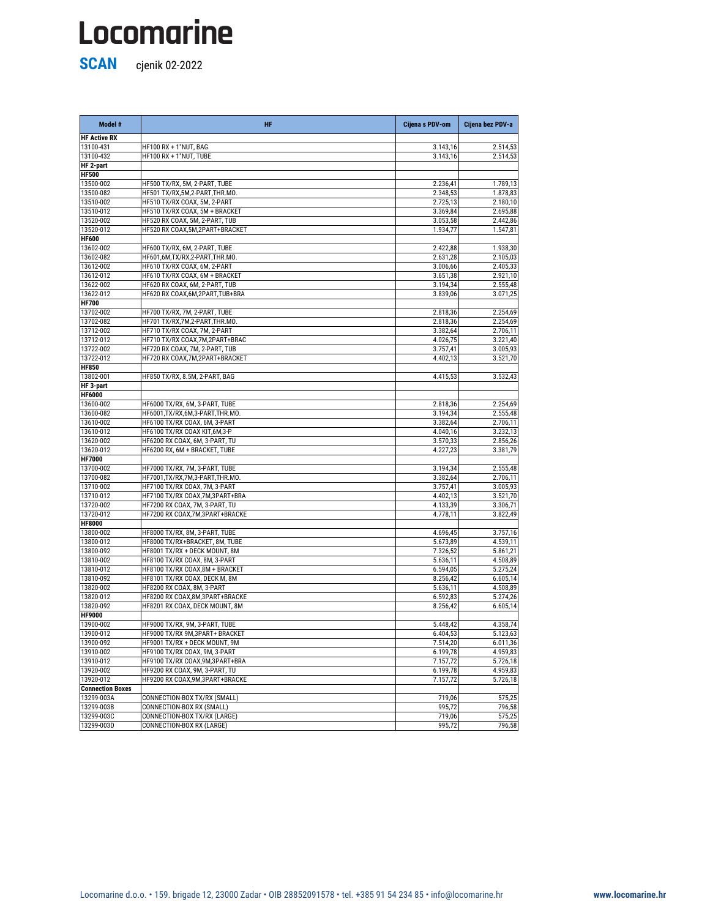**SCAN** cjenik 02-2022

| Model #             | <b>HF</b>                        | Cijena s PDV-om | Cijena bez PDV-a |
|---------------------|----------------------------------|-----------------|------------------|
| <b>HF Active RX</b> |                                  |                 |                  |
| 13100-431           | HF100 RX + 1"NUT, BAG            | 3.143,16        | 2.514,53         |
| 13100-432           | HF100 RX + 1"NUT, TUBE           | 3.143,16        | 2.514,53         |
| HF 2-part           |                                  |                 |                  |
| <b>HF500</b>        |                                  |                 |                  |
| 13500-002           | HF500 TX/RX, 5M, 2-PART, TUBE    | 2.236,41        | 1.789,13         |
| 13500-082           | HF501 TX/RX,5M,2-PART,THR.MO.    | 2.348,53        | 1.878,83         |
| 13510-002           | HF510 TX/RX COAX, 5M, 2-PART     | 2.725,13        | 2.180,10         |
| 13510-012           | HF510 TX/RX COAX, 5M + BRACKET   | 3.369,84        | 2.695,88         |
| 13520-002           | HF520 RX COAX, 5M, 2-PART, TUB   | 3.053,58        | 2.442,86         |
| 13520-012           | HF520 RX COAX, 5M, 2PART+BRACKET | 1.934,77        | 1.547,81         |
| <b>HF600</b>        |                                  |                 |                  |
| 13602-002           | HF600 TX/RX, 6M, 2-PART, TUBE    | 2.422,88        | 1.938,30         |
| 13602-082           | HF601,6M,TX/RX,2-PART,THR.MO.    | 2.631,28        | 2.105,03         |
| 13612-002           | HF610 TX/RX COAX, 6M, 2-PART     | 3.006,66        | 2.405,33         |
| 13612-012           | HF610 TX/RX COAX, 6M + BRACKET   | 3.651,38        | 2.921,10         |
| 13622-002           | HF620 RX COAX, 6M, 2-PART, TUB   | 3.194,34        | 2.555,48         |
| 13622-012           | HF620 RX COAX,6M,2PART,TUB+BRA   | 3.839,06        | 3.071,25         |
| <b>HF700</b>        |                                  |                 |                  |
| 13702-002           | HF700 TX/RX, 7M, 2-PART, TUBE    | 2.818,36        | 2.254,69         |
| 13702-082           | HF701 TX/RX,7M,2-PART,THR.MO.    | 2.818,36        | 2.254,69         |
| 13712-002           | HF710 TX/RX COAX, 7M, 2-PART     | 3.382,64        | 2.706,11         |
| 13712-012           | HF710 TX/RX COAX,7M,2PART+BRAC   | 4.026,75        | 3.221,40         |
| 13722-002           | HF720 RX COAX, 7M, 2-PART, TUB   | 3.757,41        | 3.005,93         |
| 13722-012           | HF720 RX COAX, 7M, 2PART+BRACKET | 4.402,13        | 3.521,70         |
| <b>HF850</b>        |                                  |                 |                  |
| 13802-001           | HF850 TX/RX, 8.5M, 2-PART, BAG   | 4.415,53        | 3.532,43         |
| HF 3-part           |                                  |                 |                  |
| <b>HF6000</b>       |                                  |                 |                  |
| 13600-002           | HF6000 TX/RX, 6M, 3-PART, TUBE   | 2.818,36        | 2.254,69         |
| 13600-082           | HF6001,TX/RX,6M,3-PART,THR.MO.   | 3.194,34        | 2.555,48         |
| 13610-002           | HF6100 TX/RX COAX, 6M, 3-PART    | 3.382,64        | 2.706,11         |
| 13610-012           | HF6100 TX/RX COAX KIT,6M,3-P     | 4.040,16        | 3.232,13         |
| 13620-002           | HF6200 RX COAX, 6M, 3-PART, TU   | 3.570,33        | 2.856,26         |
| 13620-012           | HF6200 RX, 6M + BRACKET, TUBE    | 4.227,23        | 3.381,79         |
| <b>HF7000</b>       |                                  |                 |                  |
| 13700-002           | HF7000 TX/RX, 7M, 3-PART, TUBE   | 3.194,34        | 2.555,48         |
| 13700-082           | HF7001,TX/RX,7M,3-PART,THR.MO.   | 3.382,64        | 2.706,11         |
| 13710-002           | HF7100 TX/RX COAX, 7M, 3-PART    | 3.757,41        | 3.005,93         |
| 13710-012           | HF7100 TX/RX COAX, 7M, 3PART+BRA | 4.402,13        | 3.521,70         |
| 13720-002           | HF7200 RX COAX, 7M, 3-PART, TU   | 4.133,39        | 3.306,71         |
| 13720-012           | HF7200 RX COAX, 7M, 3PART+BRACKE | 4.778,11        | 3.822,49         |
| <b>HF8000</b>       |                                  |                 |                  |
| 13800-002           | HF8000 TX/RX, 8M, 3-PART, TUBE   | 4.696,45        | 3.757,16         |
| 13800-012           | HF8000 TX/RX+BRACKET, 8M, TUBE   | 5.673,89        | 4.539,11         |
| 13800-092           | HF8001 TX/RX + DECK MOUNT, 8M    | 7.326,52        | 5.861,21         |
| 13810-002           | HF8100 TX/RX COAX, 8M, 3-PART    | 5.636,11        | 4.508,89         |
| 13810-012           | HF8100 TX/RX COAX,8M + BRACKET   | 6.594,05        | 5.275,24         |
| 13810-092           | HF8101 TX/RX COAX, DECK M, 8M    | 8.256,42        | 6.605,14         |
| 13820-002           | HF8200 RX COAX, 8M, 3-PART       | 5.636,11        | 4.508,89         |
| 13820-012           | HF8200 RX COAX, 8M, 3PART+BRACKE | 6.592,83        | 5.274,26         |
| 13820-092           | HF8201 RX COAX, DECK MOUNT, 8M   | 8.256,42        | 6.605,14         |
|                     |                                  |                 |                  |

**HF9000** 0,00 0,00

| 13900-002               | HF9000 TX/RX, 9M, 3-PART, TUBE   | 5.448,42 | 4.358,74 |
|-------------------------|----------------------------------|----------|----------|
| 13900-012               | HF9000 TX/RX 9M,3PART+ BRACKET   | 6.404,53 | 5.123,63 |
| 13900-092               | HF9001 TX/RX + DECK MOUNT, 9M    | 7.514,20 | 6.011,36 |
| 13910-002               | HF9100 TX/RX COAX, 9M, 3-PART    | 6.199,78 | 4.959,83 |
| 13910-012               | HF9100 TX/RX COAX, 9M, 3PART+BRA | 7.157,72 | 5.726,18 |
| 13920-002               | HF9200 RX COAX, 9M, 3-PART, TU   | 6.199,78 | 4.959,83 |
| 13920-012               | HF9200 RX COAX, 9M, 3PART+BRACKE | 7.157,72 | 5.726,18 |
| <b>Connection Boxes</b> |                                  |          |          |
| 13299-003A              | CONNECTION-BOX TX/RX (SMALL)     | 719,06   | 575,25   |
| 13299-003B              | CONNECTION-BOX RX (SMALL)        | 995,72   | 796,58   |
| 13299-003C              | CONNECTION-BOX TX/RX (LARGE)     | 719,06   | 575,25   |
| 13299-003D              | CONNECTION-BOX RX (LARGE)        | 995,72   | 796,58   |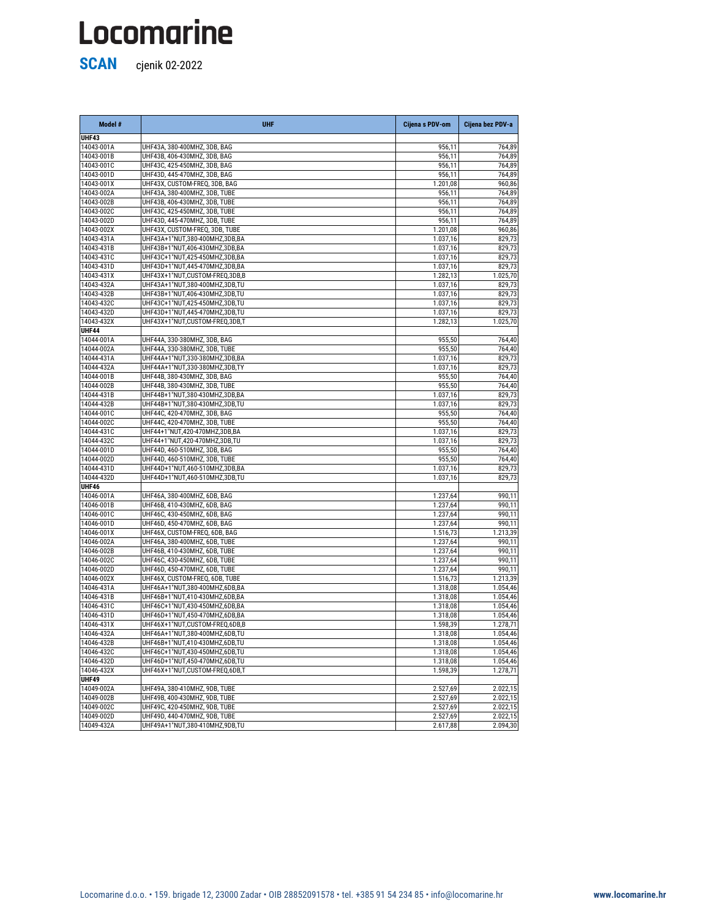**SCAN** cjenik 02-2022

14046-002D UHF46D, 450-470MHZ, 6DB, TUBE 1.237,64 990,11 14046-002X UHF46X, CUSTOM-FREQ, 6DB, TUBE 1.516,73 1.213,39 14046-431A UHF46A+1"NUT,380-400MHZ,6DB,BA 1.318,08 1.054,46 14046-431B UHF46B+1"NUT,410-430MHZ,6DB,BA 1.318,08 1.054,46 14046-431C UHF46C+1"NUT,430-450MHZ,6DB,BA 1.318,08 1.054,46 14046-431D UHF46D+1"NUT,450-470MHZ,6DB,BA 1.054,46

**Model # UHF Cijena s PDV-om Cijena bez PDV-a UHF43** 0,00 0,00 14043-001A UHF43A, 380-400MHZ, 3DB, BAG 956,11 956,11 956,11 764,89 14043-001B UHF43B, 406-430MHZ, 3DB, BAG 956,11 764,89 14043-001C UHF43C, 425-450MHZ, 3DB, BAG 956,11 956,11 956,11 764,89 14043-001D UHF43D, 445-470MHZ, 3DB, BAG 956,11 764,89 14043-001X UHF43X, CUSTOM-FREQ, 3DB, BAG 1.201,08 960,86 14043-002A UHF43A, 380-400MHZ, 3DB, TUBE 956,11 764,89 14043-002B UHF43B, 406-430MHZ, 3DB, TUBE 956,11 764,89 14043-002C UHF43C, 425-450MHZ, 3DB, TUBE 956,11 764,89 14043-002D UHF43D, 445-470MHZ, 3DB, TUBE 956,11 956,11 956,11 764,89 14043-002X UHF43X, CUSTOM-FREQ, 3DB, TUBE 1.201,08 | 1.201,08 | 1.201,08 | 960,86 14043-431A UHF43A+1"NUT,380-400MHZ,3DB,BA 1.037,16 829,73 14043-431B UHF43B+1"NUT,406-430MHZ,3DB,BA 1.037,16 829,73 14043-431C UHF43C+1"NUT,425-450MHZ,3DB,BA 1.037,16 1.037,16 829,73 14043-431D UHF43D+1"NUT,445-470MHZ,3DB,BA 1.037,16 1.037,16 829,73 14043-431X UHF43X+1"NUT,CUSTOM-FREQ,3DB,B 1.282,13 1.025,70 14043-432A UHF43A+1"NUT,380-400MHZ,3DB,TU 1.037,16 829,73 14043-432B UHF43B+1"NUT,406-430MHZ,3DB,TU 1.037,16 829,73 14043-432C UHF43C+1"NUT,425-450MHZ,3DB,TU 1.037,16 829,73 14043-432D UHF43D+1"NUT,445-470MHZ,3DB,TU 1.037,16 1.037,16 829,73 14043-432X UHF43X+1"NUT,CUSTOM-FREQ,3DB,T 1.025,70 1.282,13 1.282,13 1.025,70 **UHF44** 0,00 0,00 14044-001A UHF44A, 330-380MHZ, 3DB, BAG 955,50 764,40 14044-002A UHF44A, 330-380MHZ, 3DB, TUBE 955,50 764,40 14044-431A UHF44A+1"NUT,330-380MHZ,3DB,BA 1.037,16 1.037,16 829,73 14044-432A UHF44A+1"NUT,330-380MHZ,3DB,TY 1.037,16 829,73 14044-001B UHF44B, 380-430MHZ, 3DB, BAG 955,50 764,40 14044-002B UHF44B, 380-430MHZ, 3DB, TUBE 955,50 764,40 14044-431B UHF44B+1"NUT,380-430MHZ,3DB,BA 1.037,16 829,73 14044-432B UHF44B+1"NUT,380-430MHZ,3DB,TU 1.037,16 1.037,16 829,73 14044-001C UHF44C, 420-470MHZ, 3DB, BAG 955,50 764,40 14044-002C UHF44C, 420-470MHZ, 3DB, TUBE 955,50 764,40 14044-431C UHF44+1"NUT,420-470MHZ,3DB,BA 1.037,16 829,73 14044-432C UHF44+1"NUT,420-470MHZ,3DB,TU 1.037,16 829,73 14044-001D UHF44D, 460-510MHZ, 3DB, BAG 955,50 764,40 14044-002D UHF44D, 460-510MHZ, 3DB, TUBE 955,50 764,40 14044-431D UHF44D+1"NUT,460-510MHZ,3DB,BA 1.037,16 829,73 14044-432D UHF44D+1"NUT,460-510MHZ,3DB,TU 1.037,16 829,73 **UHF46** 0,00 0,00 14046-001A UHF46A, 380-400MHZ, 6DB, BAG 1.237,64 990,11 14046-001B UHF46B, 410-430MHZ, 6DB, BAG 1.237,64 990,11 14046-001C UHF46C, 430-450MHZ, 6DB, BAG 1.237,64 990,11 14046-001D UHF46D, 450-470MHZ, 6DB, BAG 1.237,64 990,11 14046-001X UHF46X, CUSTOM-FREQ, 6DB, BAG 1.516,73 1.213,39 14046-002A UHF46A, 380-400MHZ, 6DB, TUBE 1.237,64 1.237,64 990,11 14046-002B UHF46B, 410-430MHZ, 6DB, TUBE 1.237,64 990,11 14046-002C UHF46C, 430-450MHZ, 6DB, TUBE 1.237,64 990,11

| 14046-431X | UHF46X+1"NUT,CUSTOM-FREQ,6DB,B | 1.598,39 | 1.278,71             |
|------------|--------------------------------|----------|----------------------|
| 14046-432A | UHF46A+1"NUT,380-400MHZ,6DB,TU | 1.318,08 | 1.054,46             |
| 14046-432B | UHF46B+1"NUT,410-430MHZ,6DB,TU | 1.318,08 | 1.054,46             |
| 14046-432C | UHF46C+1"NUT,430-450MHZ,6DB,TU | 1.318,08 | 1.054,46             |
| 14046-432D | UHF46D+1"NUT,450-470MHZ,6DB,TU | 1.318,08 | 1.054,46             |
| 14046-432X | UHF46X+1"NUT,CUSTOM-FREQ,6DB,T | 1.598,39 | 1.278,71             |
|            |                                |          |                      |
| UHF49      |                                |          |                      |
| 14049-002A | UHF49A, 380-410MHZ, 9DB, TUBE  | 2.527,69 | 2.022,15             |
| 14049-002B | UHF49B, 400-430MHZ, 9DB, TUBE  | 2.527,69 |                      |
| 14049-002C | UHF49C, 420-450MHZ, 9DB, TUBE  | 2.527,69 | 2.022,15<br>2.022,15 |
| 14049-002D | UHF49D, 440-470MHZ, 9DB, TUBE  | 2.527,69 | 2.022,15             |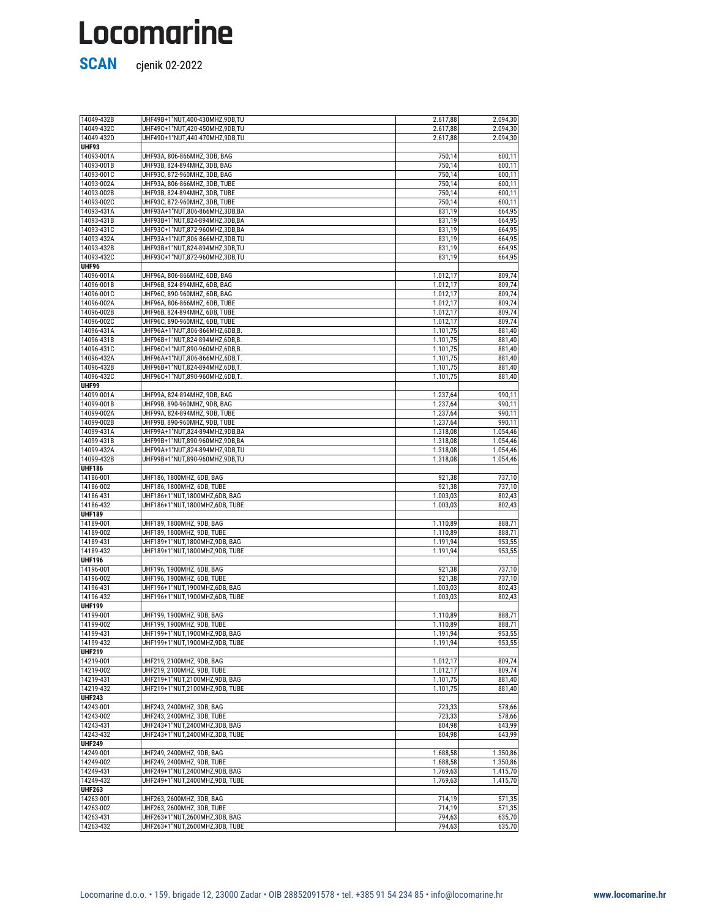| 14049-432B    | UHF49B+1"NUT,400-430MHZ,9DB,TU    | 2.617,88 | 2.094,30                   |
|---------------|-----------------------------------|----------|----------------------------|
| 14049-432C    | UHF49C+1"NUT,420-450MHZ,9DB,TU    | 2.617,88 | 2.094,30                   |
| 14049-432D    | UHF49D+1"NUT,440-470MHZ,9DB,TU    | 2.617,88 | 2.094,30                   |
| UHF93         |                                   |          |                            |
| 14093-001A    | UHF93A, 806-866MHZ, 3DB, BAG      | 750,14   | 600,11                     |
| 14093-001B    | UHF93B, 824-894MHZ, 3DB, BAG      | 750,14   | 600,11                     |
|               |                                   |          |                            |
| 14093-001C    | UHF93C, 872-960MHZ, 3DB, BAG      | 750,14   | 600,11                     |
| 14093-002A    | UHF93A, 806-866MHZ, 3DB, TUBE     | 750,14   | 600,11                     |
| 14093-002B    | UHF93B, 824-894MHZ, 3DB, TUBE     | 750,14   | 600,11                     |
| 14093-002C    | UHF93C, 872-960MHZ, 3DB, TUBE     | 750,14   | 600,11                     |
| 14093-431A    | UHF93A+1"NUT,806-866MHZ,3DB,BA    | 831,19   | 664,95                     |
| 14093-431B    | UHF93B+1"NUT,824-894MHZ,3DB,BA    | 831,19   | 664,95                     |
|               |                                   |          |                            |
| 14093-431C    | UHF93C+1"NUT,872-960MHZ,3DB,BA    | 831,19   | 664,95                     |
| 14093-432A    | UHF93A+1"NUT,806-866MHZ,3DB,TU    | 831,19   | 664,95                     |
| 14093-432B    | UHF93B+1"NUT,824-894MHZ,3DB,TU    | 831,19   | 664,95                     |
| 14093-432C    | UHF93C+1"NUT,872-960MHZ,3DB,TU    | 831,19   | 664,95                     |
| <b>UHF96</b>  |                                   |          |                            |
| 14096-001A    |                                   |          |                            |
|               | UHF96A, 806-866MHZ, 6DB, BAG      | 1.012,17 | 809,74                     |
| 14096-001B    | UHF96B, 824-894MHZ, 6DB, BAG      | 1.012,17 | 809,74                     |
| 14096-001C    | UHF96C, 890-960MHZ, 6DB, BAG      | 1.012,17 | 809,74                     |
| 14096-002A    | UHF96A, 806-866MHZ, 6DB, TUBE     | 1.012,17 | 809,74                     |
| 14096-002B    | UHF96B, 824-894MHZ, 6DB, TUBE     | 1.012,17 | 809,74                     |
| 14096-002C    | UHF96C, 890-960MHZ, 6DB, TUBE     | 1.012,17 | 809,74                     |
|               |                                   |          |                            |
| 14096-431A    | UHF96A+1"NUT,806-866MHZ,6DB,B.    | 1.101,75 | 881,40                     |
| 14096-431B    | UHF96B+1"NUT,824-894MHZ,6DB,B.    | 1.101,75 | 881,40                     |
| 14096-431C    | UHF96C+1"NUT,890-960MHZ,6DB,B.    | 1.101,75 | 881,40                     |
| 14096-432A    | UHF96A+1"NUT,806-866MHZ,6DB,T.    | 1.101,75 | 881,40                     |
| 14096-432B    | UHF96B+1"NUT,824-894MHZ,6DB,T.    | 1.101,75 | 881,40                     |
|               |                                   |          |                            |
| 14096-432C    | UHF96C+1"NUT,890-960MHZ,6DB,T.    | 1.101,75 | 881,40                     |
| UHF99         |                                   |          |                            |
| 14099-001A    | UHF99A, 824-894MHZ, 9DB, BAG      | 1.237,64 | 990,11                     |
| 14099-001B    | UHF99B, 890-960MHZ, 9DB, BAG      | 1.237,64 | 990,11                     |
| 14099-002A    | UHF99A, 824-894MHZ, 9DB, TUBE     | 1.237,64 | 990,11                     |
| 14099-002B    |                                   | 1.237,64 |                            |
|               | UHF99B, 890-960MHZ, 9DB, TUBE     |          | 990,11                     |
| 14099-431A    | UHF99A+1"NUT,824-894MHZ,9DB,BA    | 1.318,08 | 1.054,46                   |
| 14099-431B    | UHF99B+1"NUT,890-960MHZ,9DB,BA    | 1.318,08 | 1.054,46                   |
| 14099-432A    | UHF99A+1"NUT,824-894MHZ,9DB,TU    | 1.318,08 | 1.054,46                   |
| 14099-432B    | UHF99B+1"NUT,890-960MHZ,9DB,TU    | 1.318,08 | 1.054,46                   |
| <b>UHF186</b> |                                   |          |                            |
|               |                                   |          |                            |
| 14186-001     | UHF186, 1800MHZ, 6DB, BAG         | 921,38   | 737,10                     |
| 14186-002     | UHF186, 1800MHZ, 6DB, TUBE        | 921,38   | $\overline{737}$ , 10      |
| 14186-431     | UHF186+1"NUT,1800MHZ,6DB, BAG     | 1.003,03 | 802,43                     |
| 14186-432     | UHF186+1"NUT,1800MHZ,6DB, TUBE    | 1.003,03 | 802,43                     |
| <b>UHF189</b> |                                   |          |                            |
| 14189-001     | UHF189, 1800MHZ, 9DB, BAG         | 1.110,89 | 888,71                     |
|               |                                   |          |                            |
| 14189-002     | UHF189, 1800MHZ, 9DB, TUBE        | 1.110,89 | 888,71                     |
| 14189-431     | UHF189+1"NUT,1800MHZ,9DB, BAG     | 1.191,94 | 953,55                     |
| 14189-432     | UHF189+1"NUT,1800MHZ,9DB, TUBE    | 1.191,94 | 953,55                     |
| <b>UHF196</b> |                                   |          |                            |
| 14196-001     | UHF196, 1900MHZ, 6DB, BAG         | 921,38   | 737,10                     |
| 14196-002     | UHF196, 1900MHZ, 6DB, TUBE        | 921,38   | $\overline{737,10}$        |
| 14196-431     | UHF196+1"NUT,1900MHZ,6DB, BAG     |          |                            |
|               |                                   | 1.003,03 | 802,43                     |
| 14196-432     | UHF196+1"NUT,1900MHZ,6DB, TUBE    | 1.003,03 | 802,43                     |
| <b>UHF199</b> |                                   |          |                            |
| 14199-001     | UHF199, 1900MHZ, 9DB, BAG         | 1.110,89 | 888,71                     |
| 14199-002     | UHF199, 1900MHZ, 9DB, TUBE        | 1.110,89 | 888,71                     |
| 14199-431     | UHF199+1"NUT,1900MHZ,9DB, BAG     | 1.191,94 | 953,55                     |
| 14199-432     |                                   |          |                            |
|               | UHF199+1"NUT,1900MHZ,9DB, TUBE    | 1.191,94 | 953,55                     |
| <b>UHF219</b> |                                   |          |                            |
| 14219-001     | UHF219, 2100MHZ, 9DB, BAG         | 1.012,17 | 809,74                     |
| 14219-002     | <b>UHF219, 2100MHZ, 9DB, TUBE</b> |          | 809,74                     |
|               |                                   | 1.012,17 |                            |
|               |                                   |          |                            |
| 14219-431     | UHF219+1"NUT,2100MHZ,9DB, BAG     | 1.101,75 | 881,40                     |
| 14219-432     | UHF219+1"NUT,2100MHZ,9DB, TUBE    | 1.101,75 | 881,40                     |
| <b>UHF243</b> |                                   |          |                            |
| 14243-001     | UHF243, 2400MHZ, 3DB, BAG         | 723,33   | 578,66                     |
| 14243-002     | UHF243, 2400MHZ, 3DB, TUBE        | 723,33   |                            |
| 14243-431     | UHF243+1"NUT,2400MHZ,3DB, BAG     | 804,98   | 643,99                     |
|               |                                   |          |                            |
| 14243-432     | UHF243+1"NUT,2400MHZ,3DB, TUBE    | 804,98   | 643,99                     |
| <b>UHF249</b> |                                   |          |                            |
| 14249-001     | UHF249, 2400MHZ, 9DB, BAG         | 1.688,58 | 1.350,86                   |
| 14249-002     | UHF249, 2400MHZ, 9DB, TUBE        | 1.688,58 | 1.350,86                   |
| 14249-431     | UHF249+1"NUT,2400MHZ,9DB, BAG     | 1.769,63 | 1.415,70                   |
|               |                                   |          |                            |
| 14249-432     | UHF249+1"NUT,2400MHZ,9DB, TUBE    | 1.769,63 | 1.415,70                   |
| <b>UHF263</b> |                                   |          |                            |
| 14263-001     | UHF263, 2600MHZ, 3DB, BAG         | 714,19   | 571,35                     |
| 14263-002     | UHF263, 2600MHZ, 3DB, TUBE        | 714,19   |                            |
| 14263-431     | UHF263+1"NUT,2600MHZ,3DB, BAG     | 794,63   | 578,66<br>571,35<br>635,70 |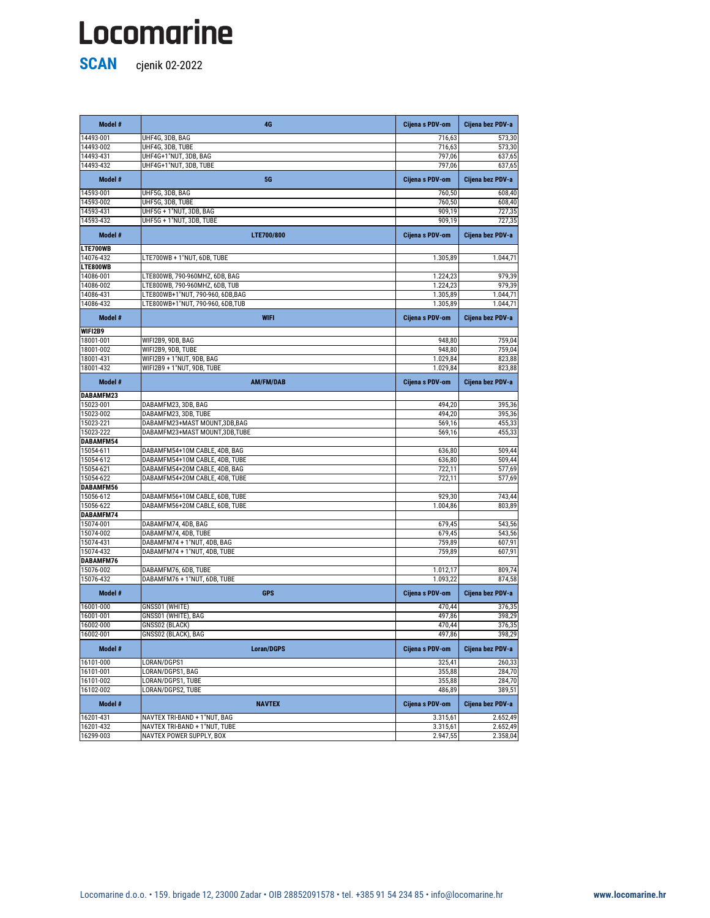**SCAN** cjenik 02-2022

**Model # 4G Cijena s PDV-om Cijena bez PDV-a** 14493-001 UHF4G, 3DB, BAG 573,30 14493-002 UHF4G, 3DB, TUBE 573,30 14493-431 UHF4G+1"NUT, 3DB, BAG 797,06 797,06 637,65 14493-432 UHF4G+1"NUT, 3DB, TUBE 797,06 637,65 **Model # 5G Cijena s PDV-om Cijena bez PDV-a** 14593-001 UHF5G, 3DB, BAG 608,40 and 500 and 500 and 760,50 cm  $\sim$  760,50 608,40 14593-002 UHF5G, 3DB, TUBE 760,50 608,40 14593-431 UHF5G + 1"NUT, 3DB, BAG 909,19 909,19 909,19 909,19 14593-432 UHF5G + 1"NUT, 3DB, TUBE 909,19 727,35 **Model # LTE700/800 Cijena s PDV-om Cijena bez PDV-a LTE700WB** 0,00 0,00 14076-432 LTE700WB + 1"NUT, 6DB, TUBE 1.305,89 1.044,71 **LTE800WB** 0,00 0,00 14086-001 LTE800WB, 790-960MHZ, 6DB, BAG 1.224,23 979,39 14086-002 LTE800WB, 790-960MHZ, 6DB, TUB 1.224,23 23 | 1.224,23 | 1.224,23 | 1.224,23 | 1.224,23 | 1.224,23 | 14086-431 |LTE800WB+1"NUT, 790-960, 6DB,BAG | 1.305,89 | 1.305,89 | 1.044,71 14086-432 LTE800WB+1"NUT, 790-960, 6DB,TUB 1.044,71 1.305,89 1.305,89 1.305,89 1.044,71 **Model # WIFI Cijena s PDV-om Cijena bez PDV-a WIFI2B9** 0,00 0,00 18001-001 WIFI2B9, 9DB, BAG 759,04 18001-002 WIFI2B9, 9DB, TUBE 2010 2009 948,80 948,80 948,80 959,04 18001-431 WIFI2B9 + 1"NUT, 9DB, BAG 1.029,84 823,88 18001-432 WIFI2B9 + 1"NUT, 9DB, TUBE 1.029,84 823,88 **Model # AM/FM/DAB Cijena s PDV-om Cijena bez PDV-a DABAMFM23** 0,00 0,00 15023-001 | DABAMFM23, 3DB, BAG 494,20 | 494,20 494,20 495,36 15023-002 DABAMFM23, 3DB, TUBE 494,20 494,20 494,20 15023-221 DABAMFM23+MAST MOUNT,3DB,BAG 569,16 569,16 569,16 569,16 455,33 15023-222 **DABAMFM23+MAST MOUNT,3DB,TUBE** 569,16 569,16 569,16 569,16 **DABAMFM54** 0,00 0,00 15054-611 DABAMFM54+10M CABLE, 4DB, BAG 636,80 509,44 15054-612 DABAMFM54+10M CABLE, 4DB, TUBE 636,80 509,44 15054-621 **DABAMFM54+20M CABLE, 4DB, BAG** 75054-621 722,11 722,11 577,69 15054-622 **DABAMFM54+20M CABLE, 4DB, TUBE** 722,11 722,11 722,11 577,69 **DABAMFM56** 0,00 0,00 15056-612 **DABAMFM56+10M CABLE, 6DB, TUBE** 929,30 929,30 929,30 15056-622 **DABAMFM56+20M CABLE, 6DB, TUBE** 1.004,86 **1.004,86** 803,89 **DABAMFM74** 0,00 0,00 15074-001 DABAMFM74, 4DB, BAG 679,45 679,45 15074-002 DABAMFM74, 4DB, TUBE 679,45 679,45

| 15074-431 | DABAMFM74 + 1"NUT, 4DB, BAG   | 759,89          | 607,91               |
|-----------|-------------------------------|-----------------|----------------------|
| 15074-432 | DABAMFM74 + 1"NUT, 4DB, TUBE  | 759,89          | 607,91               |
| DABAMFM76 |                               |                 |                      |
| 15076-002 | DABAMFM76, 6DB, TUBE          | 1.012,17        | 809,74               |
| 15076-432 | DABAMFM76 + 1"NUT, 6DB, TUBE  | 1.093,22        | 874,58               |
| Model #   | <b>GPS</b>                    | Cijena s PDV-om | Cijena bez PDV-a     |
| 16001-000 | GNSS01 (WHITE)                | 470,44          | 376,35               |
| 16001-001 | GNSS01 (WHITE), BAG           | 497,86          | 398,29               |
| 16002-000 | GNSS02 (BLACK)                | 470,44          | 376,35               |
| 16002-001 | GNSS02 (BLACK), BAG           | 497,86          | 398,29               |
| Model #   | <b>Loran/DGPS</b>             | Cijena s PDV-om | Cijena bez PDV-a     |
| 16101-000 | LORAN/DGPS1                   | 325,41          | 260,33               |
| 16101-001 | LORAN/DGPS1, BAG              | 355,88          | 284,70               |
| 16101-002 | LORAN/DGPS1, TUBE             | 355,88          | 284,70               |
| 16102-002 | LORAN/DGPS2, TUBE             | 486,89          | 389,51               |
| Model #   | <b>NAVTEX</b>                 | Cijena s PDV-om | Cijena bez PDV-a     |
| 16201-431 |                               |                 |                      |
|           | NAVTEX TRI-BAND + 1"NUT, BAG  | 3.315,61        |                      |
| 16201-432 | NAVTEX TRI-BAND + 1"NUT, TUBE | 3.315,61        | 2.652,49<br>2.652,49 |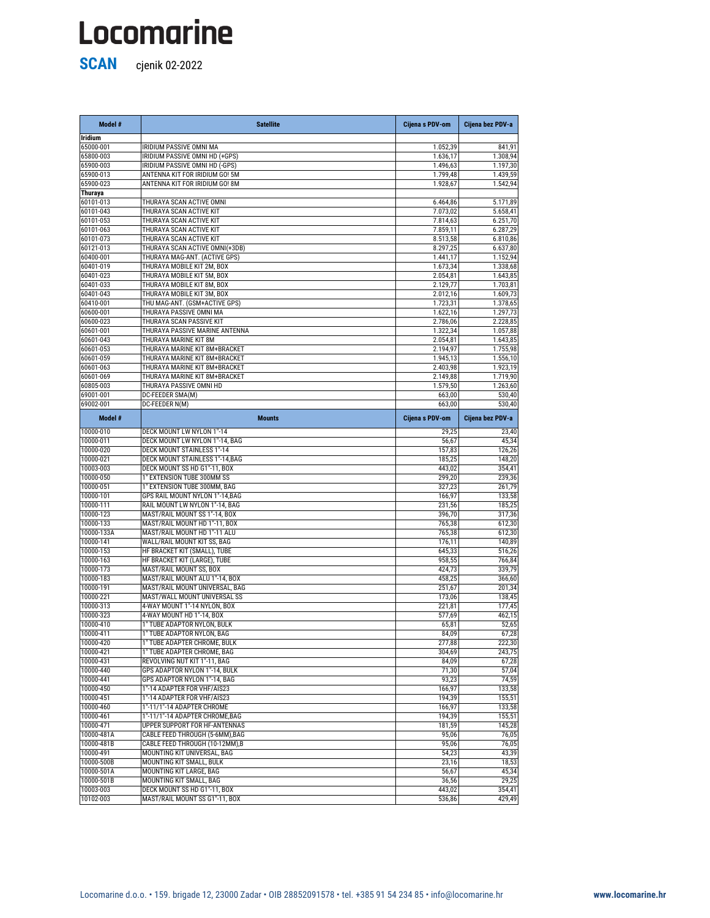| Model #                  | <b>Satellite</b>                                                      | Cijena s PDV-om      | Cijena bez PDV-a     |
|--------------------------|-----------------------------------------------------------------------|----------------------|----------------------|
| <b>Iridium</b>           |                                                                       |                      |                      |
| 65000-001                | IRIDIUM PASSIVE OMNI MA                                               | 1.052,39             | 841,91               |
| 65800-003                | IRIDIUM PASSIVE OMNI HD (+GPS)                                        | 1.636,17             | 1.308,94             |
| 65900-003                | IRIDIUM PASSIVE OMNI HD (-GPS)                                        | 1.496,63             | 1.197,30             |
| 65900-013<br>65900-023   | ANTENNA KIT FOR IRIDIUM GO! 5M<br>ANTENNA KIT FOR IRIDIUM GO! 8M      | 1.799,48<br>1.928,67 | 1.439,59<br>1.542,94 |
| <b>Thuraya</b>           |                                                                       |                      |                      |
| 60101-013                | THURAYA SCAN ACTIVE OMNI                                              | 6.464,86             | 5.171,89             |
| 60101-043                | THURAYA SCAN ACTIVE KIT                                               | 7.073,02             | 5.658,41             |
| 60101-053                | THURAYA SCAN ACTIVE KIT                                               | 7.814,63             | 6.251,70             |
| 60101-063                | THURAYA SCAN ACTIVE KIT                                               | 7.859,11             | 6.287,29             |
| 60101-073                | THURAYA SCAN ACTIVE KIT                                               | 8.513,58             | 6.810,86             |
| 60121-013                | THURAYA SCAN ACTIVE OMNI(+3DB)                                        | 8.297,25             | 6.637,80             |
| 60400-001                | THURAYA MAG-ANT. (ACTIVE GPS)                                         | 1.441,17             | 1.152,94             |
| 60401-019<br>60401-023   | THURAYA MOBILE KIT 2M, BOX<br>THURAYA MOBILE KIT 5M, BOX              | 1.673,34<br>2.054,81 | 1.338,68<br>1.643,85 |
| 60401-033                | THURAYA MOBILE KIT 8M, BOX                                            | 2.129,77             | 1.703,81             |
| 60401-043                | THURAYA MOBILE KIT 3M, BOX                                            | 2.012,16             | 1.609,73             |
| 60410-001                | THU MAG-ANT. (GSM+ACTIVE GPS)                                         | 1.723,31             | 1.378,65             |
| 60600-001                | THURAYA PASSIVE OMNI MA                                               | 1.622,16             | 1.297,73             |
| 60600-023                | THURAYA SCAN PASSIVE KIT                                              | 2.786,06             | 2.228,85             |
| 60601-001                | THURAYA PASSIVE MARINE ANTENNA                                        | 1.322,34             | 1.057,88             |
| 60601-043                | THURAYA MARINE KIT 8M                                                 | 2.054,81             | 1.643,85             |
| 60601-053                | THURAYA MARINE KIT 8M+BRACKET                                         | 2.194,97             | 1.755,98             |
| 60601-059<br>60601-063   | THURAYA MARINE KIT 8M+BRACKET                                         | 1.945,13             | 1.556,10             |
| 60601-069                | THURAYA MARINE KIT 8M+BRACKET<br>THURAYA MARINE KIT 8M+BRACKET        | 2.403,98<br>2.149,88 | 1.923,19<br>1.719,90 |
| 60805-003                | THURAYA PASSIVE OMNI HD                                               | 1.579,50             | 1.263,60             |
| 69001-001                | DC-FEEDER SMA(M)                                                      | 663,00               | $\overline{530,}40$  |
| 69002-001                | DC-FEEDER N(M)                                                        | 663,00               | 530,40               |
| Model #                  | <b>Mounts</b>                                                         | Cijena s PDV-om      | Cijena bez PDV-a     |
| 10000-010                | DECK MOUNT LW NYLON 1"-14                                             | 29,25                | 23,40                |
| 10000-011                | DECK MOUNT LW NYLON 1"-14, BAG                                        | 56,67                | 45,34                |
| 10000-020                | <b>DECK MOUNT STAINLESS 1"-14</b>                                     | 157,83               | 126,26               |
| 10000-021<br>10003-003   | <b>DECK MOUNT STAINLESS 1"-14,BAG</b><br>DECK MOUNT SS HD G1"-11, BOX | 185,25<br>443,02     | 148,20               |
| 10000-050                | 1" EXTENSION TUBE 300MM SS                                            | 299,20               | 354,41<br>239,36     |
| 10000-051                | 1" EXTENSION TUBE 300MM, BAG                                          | 327,23               | 261,79               |
| 10000-101                | GPS RAIL MOUNT NYLON 1"-14, BAG                                       | 166,97               | 133,58               |
| 10000-111                | RAIL MOUNT LW NYLON 1"-14, BAG                                        | 231,56               | 185,25               |
| 10000-123                | MAST/RAIL MOUNT SS 1"-14, BOX                                         | 396,70               | 317,36               |
| 10000-133                | MAST/RAIL MOUNT HD 1"-11, BOX                                         | 765,38               | 612,30               |
| 10000-133A               | MAST/RAIL MOUNT HD 1"-11 ALU                                          | 765,38               | 612,30               |
| 10000-141<br>10000-153   | WALL/RAIL MOUNT KIT SS, BAG<br>HF BRACKET KIT (SMALL), TUBE           | 176,11<br>645,33     | 140,89               |
| 10000-163                | HF BRACKET KIT (LARGE), TUBE                                          | 958,55               | 516,26<br>766,84     |
| 10000-173                | MAST/RAIL MOUNT SS, BOX                                               | 424,73               | 339,79               |
| 10000-183                | MAST/RAIL MOUNT ALU 1"-14, BOX                                        | 458,25               | 366,60               |
| 10000-191                | MAST/RAIL MOUNT UNIVERSAL, BAG                                        | 251,67               | 201,34               |
| 10000-221                | MAST/WALL MOUNT UNIVERSAL SS                                          | 173,06               | 138,45               |
| 10000-313                | 4-WAY MOUNT 1"-14 NYLON, BOX                                          | 221,81               | 177,45               |
| 10000-323                | 4-WAY MOUNT HD 1"-14, BOX                                             | 577,69               | 462,15               |
| 10000-410                | 1" TUBE ADAPTOR NYLON, BULK                                           | 65,81                | 52,65                |
| 10000-411                | 1" TUBE ADAPTOR NYLON, BAG                                            | 84,09                | 67,28                |
| 10000-420<br>10000-421   | 1" TUBE ADAPTER CHROME, BULK<br>1" TUBE ADAPTER CHROME, BAG           | 277,88<br>304,69     | 222,30<br>243,75     |
| 10000-431                | REVOLVING NUT KIT 1"-11, BAG                                          | 84,09                | 67,28                |
| 10000-440                | GPS ADAPTOR NYLON 1"-14, BULK                                         | 71,30                | 57,04                |
| 10000-441                | GPS ADAPTOR NYLON 1"-14, BAG                                          | 93,23                | 74,59                |
| 10000-450                | 1"-14 ADAPTER FOR VHF/AIS23                                           | 166,97               | 133,58               |
| 10000-451                | 1"-14 ADAPTER FOR VHF/AIS23                                           | 194,39               | 155,51               |
| 10000-460                | 1"-11/1"-14 ADAPTER CHROME                                            | 166,97               | 133,58               |
| 10000-461                | 1"-11/1"-14 ADAPTER CHROME, BAG                                       | 194,39               | 155,51               |
| 10000-471                | UPPER SUPPORT FOR HF-ANTENNAS                                         | 181,59               | 145,28               |
| 10000-481A<br>10000-481B |                                                                       |                      |                      |
|                          | CABLE FEED THROUGH (5-6MM), BAG                                       | 95,06                | 76,05                |
|                          | CABLE FEED THROUGH (10-12MM), B                                       | 95,06                | 76,05                |
| 10000-491                | MOUNTING KIT UNIVERSAL, BAG                                           | 54,23                | 43,39                |
| 10000-500B               | MOUNTING KIT SMALL, BULK                                              | 23,16                | 18,53                |
| 10000-501A<br>10000-501B | MOUNTING KIT LARGE, BAG<br>MOUNTING KIT SMALL, BAG                    | 56,67<br>36,56       | 45,34<br>29,25       |
| 10003-003                | DECK MOUNT SS HD G1"-11, BOX                                          | 443,02               | 354,41               |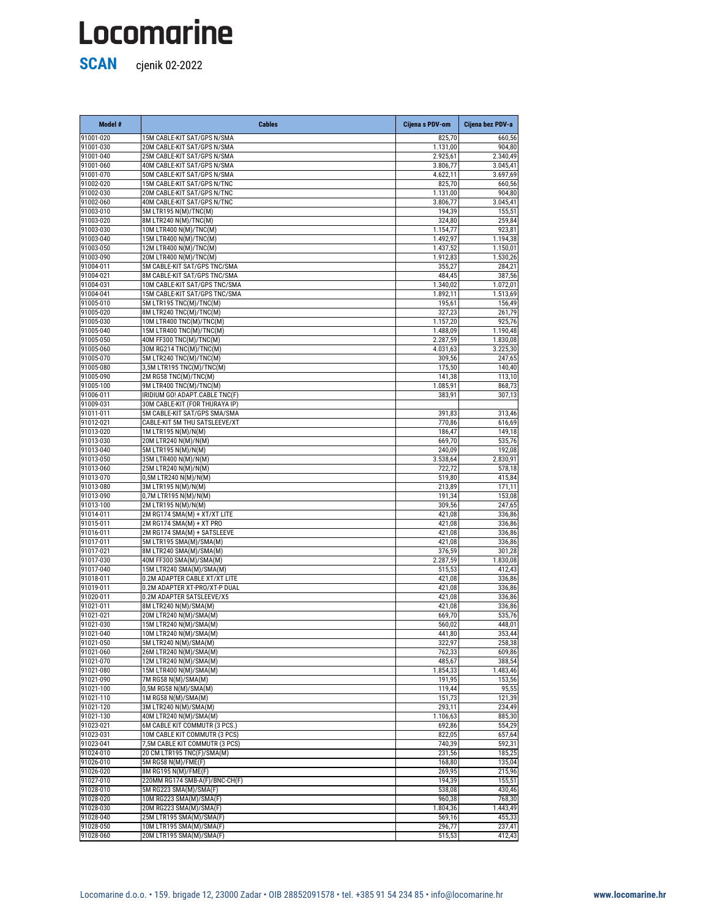| Model #   | <b>Cables</b>                  | Cijena s PDV-om       | Cijena bez PDV-a |
|-----------|--------------------------------|-----------------------|------------------|
| 91001-020 | 15M CABLE-KIT SAT/GPS N/SMA    | 825,70                | 660,56           |
| 91001-030 | 20M CABLE-KIT SAT/GPS N/SMA    | 1.131,00              | 904,80           |
| 91001-040 | 25M CABLE-KIT SAT/GPS N/SMA    | $\overline{2.92}5,61$ | 2.340,49         |
| 91001-060 | 40M CABLE-KIT SAT/GPS N/SMA    | 3.806,77              | 3.045,41         |
| 91001-070 | 50M CABLE-KIT SAT/GPS N/SMA    | 4.622,11              | 3.697,69         |
| 91002-020 | 15M CABLE-KIT SAT/GPS N/TNC    | 825,70                | 660,56           |
| 91002-030 | 20M CABLE-KIT SAT/GPS N/TNC    | 1.131,00              | 904,80           |
| 91002-060 | 40M CABLE-KIT SAT/GPS N/TNC    | 3.806,77              | 3.045,41         |
| 91003-010 | 5M LTR195 N(M)/TNC(M)          | 194,39                | 155,51           |
| 91003-020 | 8M LTR240 N(M)/TNC(M)          | 324,80                | 259,84           |
| 91003-030 | 10M LTR400 N(M)/TNC(M)         | 1.154,77              | 923,81           |
| 91003-040 | 15M LTR400 N(M)/TNC(M)         | 1.492,97              | 1.194,38         |
| 91003-050 | 12M LTR400 N(M)/TNC(M)         | 1.437,52              | 1.150,01         |
| 91003-090 | 20M LTR400 N(M)/TNC(M)         | 1.912,83              | 1.530,26         |
| 91004-011 | 5M CABLE-KIT SAT/GPS TNC/SMA   | 355,27                | 284,21           |
| 91004-021 | 8M CABLE-KIT SAT/GPS TNC/SMA   | 484,45                | 387,56           |
| 91004-031 | 10M CABLE-KIT SAT/GPS TNC/SMA  | 1.340,02              | 1.072,01         |
| 91004-041 | 15M CABLE-KIT SAT/GPS TNC/SMA  | 1.892,11              | 1.513,69         |
| 91005-010 | 5M LTR195 TNC(M)/TNC(M)        | 195,61                | 156,49           |
| 91005-020 | 8M LTR240 TNC(M)/TNC(M)        | 327,23                | 261,79           |
| 91005-030 | 10M LTR400 TNC(M)/TNC(M)       | 1.157,20              | 925,76           |
| 91005-040 | 15M LTR400 TNC(M)/TNC(M)       | 1.488,09              | 1.190,48         |
| 91005-050 | 40M FF300 TNC(M)/TNC(M)        | 2.287,59              | 1.830,08         |
| 91005-060 | 30M RG214 TNC(M)/TNC(M)        | 4.031,63              | 3.225,30         |
| 91005-070 | 5M LTR240 TNC(M)/TNC(M)        | 309,56                | 247,65           |
| 91005-080 | 3,5M LTR195 TNC(M)/TNC(M)      | 175,50                | 140,40           |
| 91005-090 | 2M RG58 TNC(M)/TNC(M)          | 141,38                | 113,10           |
| 91005-100 | 9M LTR400 TNC(M)/TNC(M)        | 1.085,91              | 868,73           |
| 91006-011 | IRIDIUM GO! ADAPT.CABLE TNC(F) | 383,91                | 307,13           |
| 91009-031 | 30M CABLE-KIT (FOR THURAYA IP) |                       |                  |
| 91011-011 | 5M CABLE-KIT SAT/GPS SMA/SMA   | 391,83                | 313,46           |
| 91012-021 | CABLE-KIT 5M THU SATSLEEVE/XT  | 770,86                | 616,69           |
| 91013-020 | 1M LTR195 N(M)/N(M)            | 186,47                | 149,18           |
| 91013-030 | 20M LTR240 N(M)/N(M)           | 669,70                | 535,76           |
| 91013-040 | 5M LTR195 N(M)/N(M)            | 240,09                | 192,08           |
| 91013-050 | 35M LTR400 N(M)/N(M)           | 3.538,64              | 2.830,91         |
| 91013-060 | 25M LTR240 N(M)/N(M)           | 722,72                | 578,18           |
| 91013-070 | 0,5M LTR240 N(M)/N(M)          | 519,80                | 415,84           |
| 91013-080 | 3M LTR195 N(M)/N(M)            | 213,89                | 171,11           |
| 91013-090 | 0,7M LTR195 N(M)/N(M)          | 191,34                | 153,08           |
| 91013-100 | 2M LTR195 N(M)/N(M)            | 309,56                | 247,65           |
| 91014-011 | 2M RG174 SMA(M) + XT/XT LITE   | 421,08                | 336,86           |
| 91015-011 | 2M RG174 SMA(M) + XT PRO       | 421,08                | 336,86           |
| 91016-011 | 2M RG174 SMA(M) + SATSLEEVE    | 421,08                | 336,86           |
| 91017-011 | 5M LTR195 SMA(M)/SMA(M)        | 421,08                | 336,86           |
| 91017-021 | 8M LTR240 SMA(M)/SMA(M)        | 376,59                | 301,28           |
| 91017-030 | 40M FF300 SMA(M)/SMA(M)        | 2.287,59              | 1.830,08         |
| 91017-040 | 15M LTR240 SMA(M)/SMA(M)       | 515,53                | 412,43           |
| 91018-011 | 0.2M ADAPTER CABLE XT/XT LITE  | 421,08                | 336,86           |
| 91019-011 | 0.2M ADAPTER XT-PRO/XT-P DUAL  | 421,08                | 336,86           |
| 91020-011 | 0.2M ADAPTER SATSLEEVE/X5      | 421,08                | 336,86           |
| 91021-011 | 8M LTR240 N(M)/SMA(M)          | 421,08                | 336,86           |
| 91021-021 | 20M LTR240 N(M)/SMA(M)         | 669,70                | 535,76           |

| 91021-030 | 15M LTR240 N(M)/SMA(M)         | 560,02   | 448,01   |
|-----------|--------------------------------|----------|----------|
| 91021-040 | 10M LTR240 N(M)/SMA(M)         | 441,80   | 353,44   |
| 91021-050 | 5M LTR240 N(M)/SMA(M)          | 322,97   | 258,38   |
| 91021-060 | 26M LTR240 N(M)/SMA(M)         | 762,33   | 609,86   |
| 91021-070 | 12M LTR240 N(M)/SMA(M)         | 485,67   | 388,54   |
| 91021-080 | 15M LTR400 N(M)/SMA(M)         | 1.854,33 | 1.483,46 |
| 91021-090 | 7M RG58 N(M)/SMA(M)            | 191,95   | 153,56   |
| 91021-100 | 0,5M RG58 N(M)/SMA(M)          | 119,44   | 95,55    |
| 91021-110 | 1M RG58 N(M)/SMA(M)            | 151,73   | 121,39   |
| 91021-120 | 3M LTR240 N(M)/SMA(M)          | 293,11   | 234,49   |
| 91021-130 | 40M LTR240 N(M)/SMA(M)         | 1.106,63 | 885,30   |
| 91023-021 | 6M CABLE KIT COMMUTR (3 PCS.)  | 692,86   | 554,29   |
| 91023-031 | 10M CABLE KIT COMMUTR (3 PCS)  | 822,05   | 657,64   |
| 91023-041 | 7,5M CABLE KIT COMMUTR (3 PCS) | 740,39   | 592,31   |
| 91024-010 | 20 CM LTR195 TNC(F)/SMA(M)     | 231,56   | 185,25   |
| 91026-010 | 5M RG58 N(M)/FME(F)            | 168,80   | 135,04   |
| 91026-020 | 8M RG195 N(M)/FME(F)           | 269,95   | 215,96   |
| 91027-010 | 220MM RG174 SMB-A(F)/BNC-CH(F) | 194,39   | 155,51   |
| 91028-010 | 5M RG223 SMA(M)/SMA(F)         | 538,08   | 430,46   |
| 91028-020 | 10M RG223 SMA(M)/SMA(F)        | 960,38   | 768,30   |
| 91028-030 | 20M RG223 SMA(M)/SMA(F)        | 1.804,36 | 1.443,49 |
| 91028-040 | 25M LTR195 SMA(M)/SMA(F)       | 569,16   | 455,33   |
| 91028-050 | 10M LTR195 SMA(M)/SMA(F)       | 296,77   | 237,41   |
| 91028-060 | 20M LTR195 SMA(M)/SMA(F)       | 515,53   | 412,43   |